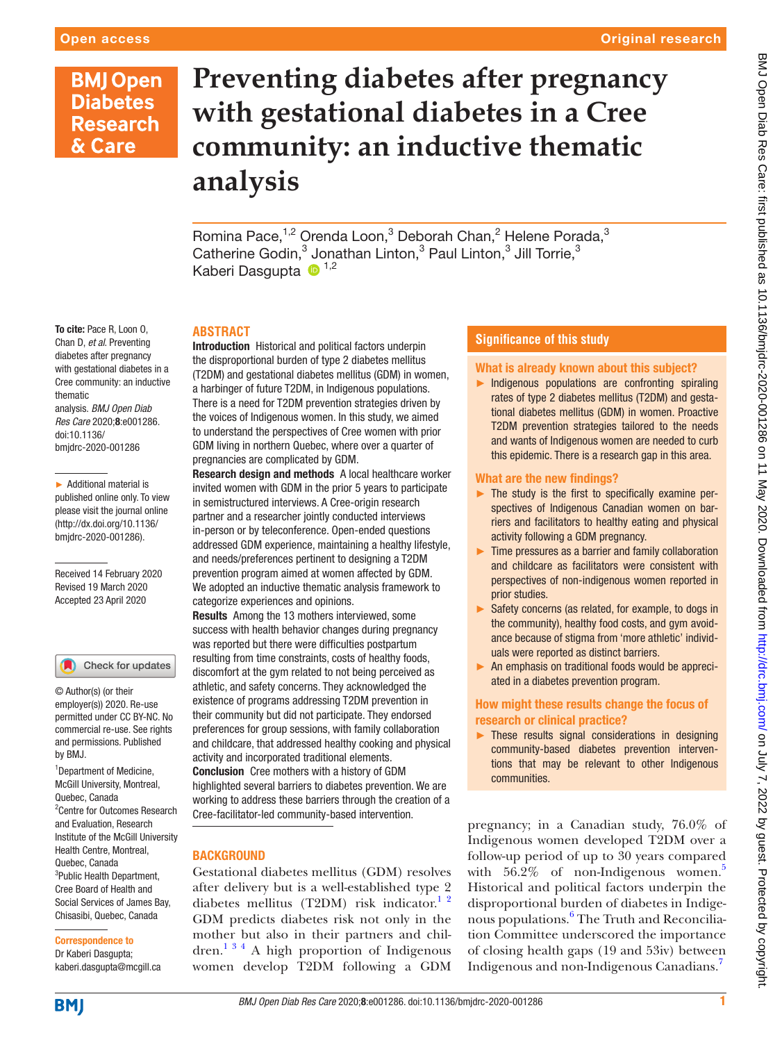To cite: Pace R, Loon O, Chan D, *et al*. Preventing diabetes after pregnancy with gestational diabetes in a Cree community: an inductive

analysis. *BMJ Open Diab Res Care* 2020;8:e001286.

► Additional material is published online only. To view please visit the journal online (http://dx.doi.org/10.1136/ bmjdrc-2020-001286).

Received 14 February 2020 Revised 19 March 2020 Accepted 23 April 2020

Check for updates

thematic

doi:10.1136/ bmjdrc-2020-001286

# **BMJ Open Diabetes Research** & Care

# **Preventing diabetes after pregnancy with gestational diabetes in a Cree community: an inductive thematic analysis**

Romina Pace, $^{1,2}$  Orenda Loon, $^3$  Deborah Chan, $^2$  Helene Porada, $^3$ Catherine Godin, $^3$  Jonathan Linton, $^3$  Paul Linton, $^3$  Jill Torrie, $^3$ Kaberi Dasgupta  $\bullet$ <sup>1,2</sup>

# **Abstract**

Introduction Historical and political factors underpin the disproportional burden of type 2 diabetes mellitus (T2DM) and gestational diabetes mellitus (GDM) in women, a harbinger of future T2DM, in Indigenous populations. There is a need for T2DM prevention strategies driven by the voices of Indigenous women. In this study, we aimed to understand the perspectives of Cree women with prior GDM living in northern Quebec, where over a quarter of pregnancies are complicated by GDM.

Research design and methods A local healthcare worker invited women with GDM in the prior 5 years to participate in semistructured interviews. A Cree-origin research partner and a researcher jointly conducted interviews in-person or by teleconference. Open-ended questions addressed GDM experience, maintaining a healthy lifestyle, and needs/preferences pertinent to designing a T2DM prevention program aimed at women affected by GDM. We adopted an inductive thematic analysis framework to categorize experiences and opinions.

Results Among the 13 mothers interviewed, some success with health behavior changes during pregnancy was reported but there were difficulties postpartum resulting from time constraints, costs of healthy foods, discomfort at the gym related to not being perceived as athletic, and safety concerns. They acknowledged the existence of programs addressing T2DM prevention in their community but did not participate. They endorsed preferences for group sessions, with family collaboration and childcare, that addressed healthy cooking and physical activity and incorporated traditional elements. Conclusion Cree mothers with a history of GDM highlighted several barriers to diabetes prevention. We are working to address these barriers through the creation of a

Cree-facilitator-led community-based intervention.

# **BACKGROUND**

Gestational diabetes mellitus (GDM) resolves after delivery but is a well-established type 2 diabetes mellitus (T2DM) risk indicator.<sup>12</sup> GDM predicts diabetes risk not only in the mother but also in their partners and children.<sup>134</sup> A high proportion of Indigenous women develop T2DM following a GDM

## **Significance of this study**

### What is already known about this subject?

▶ Indigenous populations are confronting spiraling rates of type 2 diabetes mellitus (T2DM) and gestational diabetes mellitus (GDM) in women. Proactive T2DM prevention strategies tailored to the needs and wants of Indigenous women are needed to curb this epidemic. There is a research gap in this area.

#### What are the new findings?

- ► The study is the first to specifically examine perspectives of Indigenous Canadian women on barriers and facilitators to healthy eating and physical activity following a GDM pregnancy.
- ► Time pressures as a barrier and family collaboration and childcare as facilitators were consistent with perspectives of non-indigenous women reported in prior studies.
- ► Safety concerns (as related, for example, to dogs in the community), healthy food costs, and gym avoidance because of stigma from 'more athletic' individuals were reported as distinct barriers.
- ► An emphasis on traditional foods would be appreciated in a diabetes prevention program.

### How might these results change the focus of research or clinical practice?

 $\blacktriangleright$  These results signal considerations in designing community-based diabetes prevention interventions that may be relevant to other Indigenous communities.

pregnancy; in a Canadian study, 76.0% of Indigenous women developed T2DM over a follow-up period of up to 30 years compared with [5](#page-5-1)6.2% of non-Indigenous women.<sup>5</sup> Historical and political factors underpin the disproportional burden of diabetes in Indige-nous populations.<sup>[6](#page-5-2)</sup> The Truth and Reconciliation Committee underscored the importance of closing health gaps (19 and 53iv) between Indigenous and non-Indigenous Canadians[.7](#page-5-3)

# **BMI**

Correspondence to Dr Kaberi Dasgupta; kaberi.dasgupta@mcgill.ca

<sup>1</sup>Department of Medicine, McGill University, Montreal, Quebec, Canada

© Author(s) (or their employer(s)) 2020. Re-use permitted under CC BY-NC. No commercial re-use. See rights and permissions. Published

by BMJ.

<sup>2</sup> Centre for Outcomes Research and Evaluation, Research Institute of the McGill University Health Centre, Montreal, Quebec, Canada <sup>3</sup>Public Health Department, Cree Board of Health and Social Services of James Bay, Chisasibi, Quebec, Canada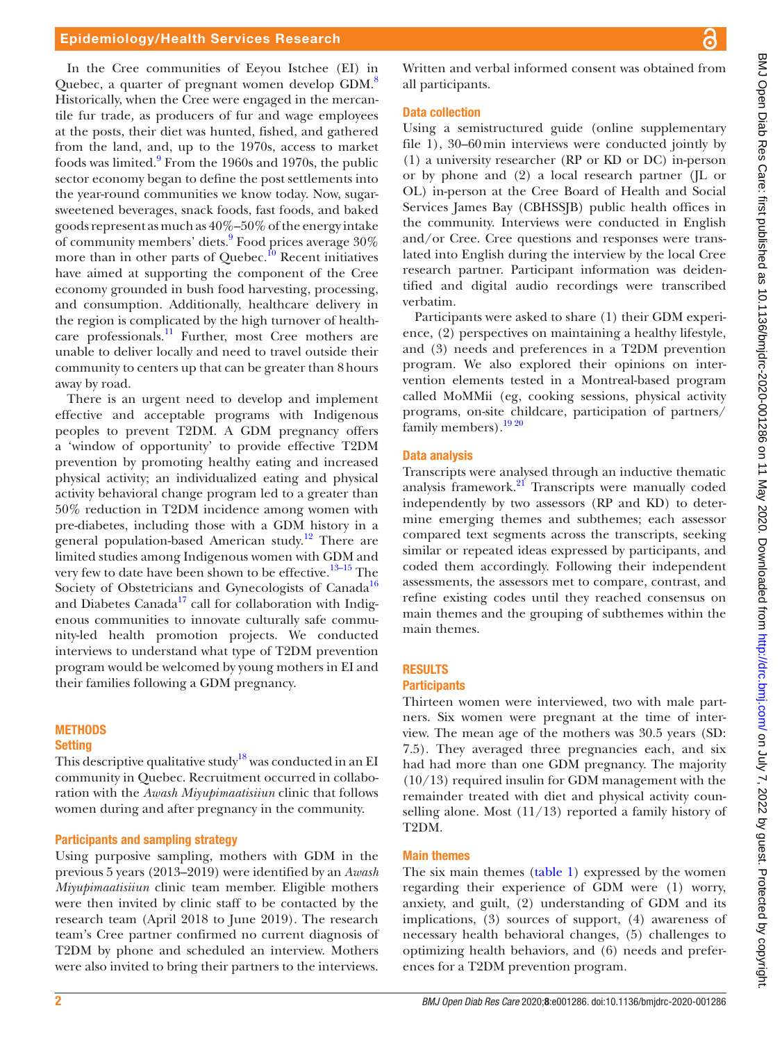### Epidemiology/Health Services Research

In the Cree communities of Eeyou Istchee (EI) in Quebec, a quarter of pregnant women develop GDM.<sup>[8](#page-5-4)</sup> Historically, when the Cree were engaged in the mercantile fur trade, as producers of fur and wage employees at the posts, their diet was hunted, fished, and gathered from the land, and, up to the 1970s, access to market foods was limited.<sup>[9](#page-5-5)</sup> From the 1960s and 1970s, the public sector economy began to define the post settlements into the year-round communities we know today. Now, sugarsweetened beverages, snack foods, fast foods, and baked goods represent as much as 40%–50% of the energy intake of community members' diets.<sup>9</sup> Food prices average 30% more than in other parts of Quebec.<sup>[10](#page-5-6)</sup> Recent initiatives have aimed at supporting the component of the Cree economy grounded in bush food harvesting, processing, and consumption. Additionally, healthcare delivery in the region is complicated by the high turnover of healthcare professionals[.11](#page-5-7) Further, most Cree mothers are unable to deliver locally and need to travel outside their community to centers up that can be greater than 8hours away by road.

There is an urgent need to develop and implement effective and acceptable programs with Indigenous peoples to prevent T2DM. A GDM pregnancy offers a 'window of opportunity' to provide effective T2DM prevention by promoting healthy eating and increased physical activity; an individualized eating and physical activity behavioral change program led to a greater than 50% reduction in T2DM incidence among women with pre-diabetes, including those with a GDM history in a general population-based American study.<sup>[12](#page-5-8)</sup> There are limited studies among Indigenous women with GDM and very few to date have been shown to be effective.<sup>13–15</sup> The Society of Obstetricians and Gynecologists of Canada<sup>16</sup> and Diabetes Canada<sup>[17](#page-5-11)</sup> call for collaboration with Indigenous communities to innovate culturally safe community-led health promotion projects. We conducted interviews to understand what type of T2DM prevention program would be welcomed by young mothers in EI and their families following a GDM pregnancy.

# **METHODS**

# **Setting**

This descriptive qualitative study<sup>18</sup> was conducted in an EI community in Quebec. Recruitment occurred in collaboration with the *Awash Miyupimaatisiiun* clinic that follows women during and after pregnancy in the community.

### Participants and sampling strategy

Using purposive sampling, mothers with GDM in the previous 5 years (2013–2019) were identified by an *Awash Miyupimaatisiiun* clinic team member. Eligible mothers were then invited by clinic staff to be contacted by the research team (April 2018 to June 2019). The research team's Cree partner confirmed no current diagnosis of T2DM by phone and scheduled an interview. Mothers were also invited to bring their partners to the interviews.

Written and verbal informed consent was obtained from all participants.

### Data collection

Using a semistructured guide [\(online supplementary](https://dx.doi.org/10.1136/bmjdrc-2020-001286) [file 1](https://dx.doi.org/10.1136/bmjdrc-2020-001286)), 30–60min interviews were conducted jointly by (1) a university researcher (RP or KD or DC) in-person or by phone and (2) a local research partner (JL or OL) in-person at the Cree Board of Health and Social Services James Bay (CBHSSJB) public health offices in the community. Interviews were conducted in English and/or Cree. Cree questions and responses were translated into English during the interview by the local Cree research partner. Participant information was deidentified and digital audio recordings were transcribed verbatim.

Participants were asked to share (1) their GDM experience, (2) perspectives on maintaining a healthy lifestyle, and (3) needs and preferences in a T2DM prevention program. We also explored their opinions on intervention elements tested in a Montreal-based program called MoMMii (eg, cooking sessions, physical activity programs, on-site childcare, participation of partners/ family members). $1920$ 

### Data analysis

Transcripts were analysed through an inductive thematic analysis framework.<sup>21</sup> Transcripts were manually coded independently by two assessors (RP and KD) to determine emerging themes and subthemes; each assessor compared text segments across the transcripts, seeking similar or repeated ideas expressed by participants, and coded them accordingly. Following their independent assessments, the assessors met to compare, contrast, and refine existing codes until they reached consensus on main themes and the grouping of subthemes within the main themes.

# **RESULTS**

# **Participants**

Thirteen women were interviewed, two with male partners. Six women were pregnant at the time of interview. The mean age of the mothers was 30.5 years (SD: 7.5). They averaged three pregnancies each, and six had had more than one GDM pregnancy. The majority (10/13) required insulin for GDM management with the remainder treated with diet and physical activity counselling alone. Most (11/13) reported a family history of T2DM.

### Main themes

The six main themes [\(table](#page-2-0) 1) expressed by the women regarding their experience of GDM were (1) worry, anxiety, and guilt, (2) understanding of GDM and its implications, (3) sources of support, (4) awareness of necessary health behavioral changes, (5) challenges to optimizing health behaviors, and (6) needs and preferences for a T2DM prevention program.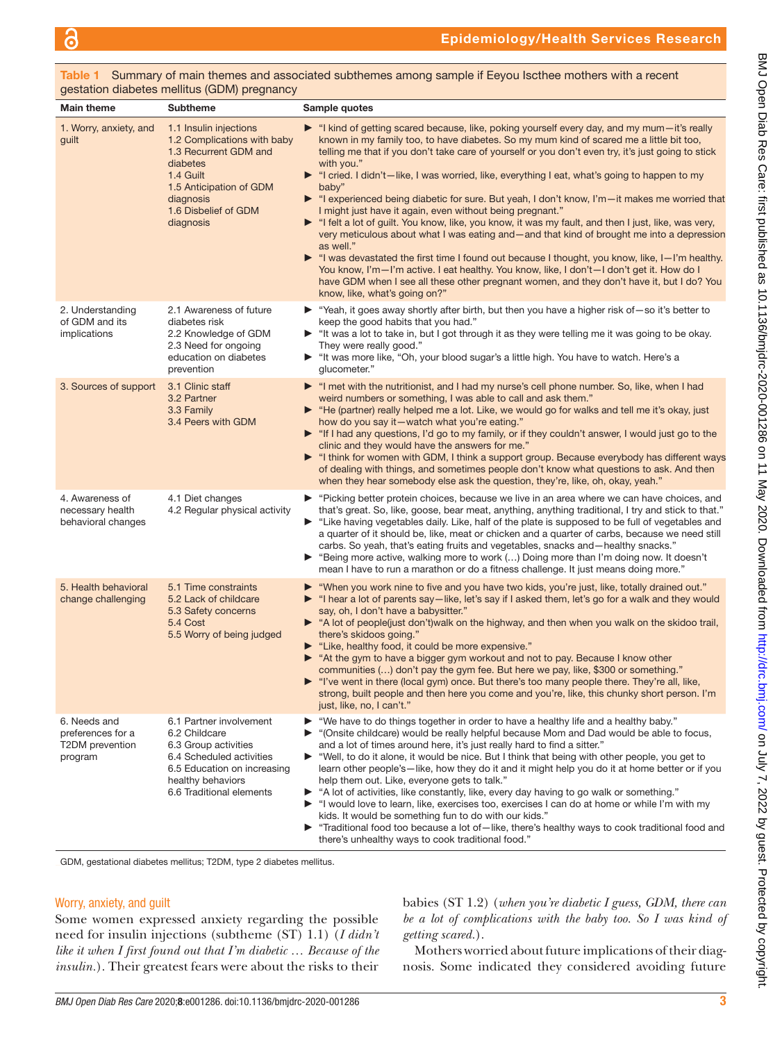| <b>Main theme</b>                                               | Subtheme                                                                                                                                                                             | Sample quotes                                                                                                                                                                                                                                                                                                                                                                                                                                                                                                                                                                                                                                                                                                                                                                                                                                                                                                                                                                                                                                                                                                                                                                                                                  |
|-----------------------------------------------------------------|--------------------------------------------------------------------------------------------------------------------------------------------------------------------------------------|--------------------------------------------------------------------------------------------------------------------------------------------------------------------------------------------------------------------------------------------------------------------------------------------------------------------------------------------------------------------------------------------------------------------------------------------------------------------------------------------------------------------------------------------------------------------------------------------------------------------------------------------------------------------------------------------------------------------------------------------------------------------------------------------------------------------------------------------------------------------------------------------------------------------------------------------------------------------------------------------------------------------------------------------------------------------------------------------------------------------------------------------------------------------------------------------------------------------------------|
| 1. Worry, anxiety, and<br>guilt                                 | 1.1 Insulin injections<br>1.2 Complications with baby<br>1.3 Recurrent GDM and<br>diabetes<br>1.4 Guilt<br>1.5 Anticipation of GDM<br>diagnosis<br>1.6 Disbelief of GDM<br>diagnosis | If we il kind of getting scared because, like, poking yourself every day, and my mum-it's really<br>known in my family too, to have diabetes. So my mum kind of scared me a little bit too,<br>telling me that if you don't take care of yourself or you don't even try, it's just going to stick<br>with you."<br>► "I cried. I didn't—like, I was worried, like, everything I eat, what's going to happen to my<br>baby"<br>lacktriangleright in the worrient of the worrient that is a period that we short for surface that is approximate that that is approximate that is approximate that<br>I might just have it again, even without being pregnant."<br>If the fit a lot of guilt. You know, like, you know, it was my fault, and then I just, like, was very,<br>very meticulous about what I was eating and — and that kind of brought me into a depression<br>as well."<br>If you know, like, I-I'm healthy. The instance I found out because I thought, you know, like, I-I'm healthy.<br>You know, I'm-I'm active. I eat healthy. You know, like, I don't-I don't get it. How do I<br>have GDM when I see all these other pregnant women, and they don't have it, but I do? You<br>know, like, what's going on?" |
| 2. Understanding<br>of GDM and its<br>implications              | 2.1 Awareness of future<br>diabetes risk<br>2.2 Knowledge of GDM<br>2.3 Need for ongoing<br>education on diabetes<br>prevention                                                      | ▶ "Yeah, it goes away shortly after birth, but then you have a higher risk of - so it's better to<br>keep the good habits that you had."<br>• "It was a lot to take in, but I got through it as they were telling me it was going to be okay.<br>They were really good."<br>If the was more like, "Oh, your blood sugar's a little high. You have to watch. Here's a<br>glucometer."                                                                                                                                                                                                                                                                                                                                                                                                                                                                                                                                                                                                                                                                                                                                                                                                                                           |
| 3. Sources of support                                           | 3.1 Clinic staff<br>3.2 Partner<br>3.3 Family<br>3.4 Peers with GDM                                                                                                                  | If $\blacktriangleright$ "I met with the nutritionist, and I had my nurse's cell phone number. So, like, when I had<br>weird numbers or something, I was able to call and ask them."<br>• "He (partner) really helped me a lot. Like, we would go for walks and tell me it's okay, just<br>how do you say it - watch what you're eating."<br>• "If I had any questions, I'd go to my family, or if they couldn't answer, I would just go to the<br>clinic and they would have the answers for me."<br>If think for women with GDM, I think a support group. Because everybody has different ways<br>of dealing with things, and sometimes people don't know what questions to ask. And then<br>when they hear somebody else ask the question, they're, like, oh, okay, yeah."                                                                                                                                                                                                                                                                                                                                                                                                                                                  |
| 4. Awareness of<br>necessary health<br>behavioral changes       | 4.1 Diet changes<br>4.2 Regular physical activity                                                                                                                                    | Picking better protein choices, because we live in an area where we can have choices, and<br>that's great. So, like, goose, bear meat, anything, anything traditional, I try and stick to that."<br>► "Like having vegetables daily. Like, half of the plate is supposed to be full of vegetables and<br>a quarter of it should be, like, meat or chicken and a quarter of carbs, because we need still<br>carbs. So yeah, that's eating fruits and vegetables, snacks and—healthy snacks."<br>► "Being more active, walking more to work () Doing more than I'm doing now. It doesn't<br>mean I have to run a marathon or do a fitness challenge. It just means doing more."                                                                                                                                                                                                                                                                                                                                                                                                                                                                                                                                                  |
| 5. Health behavioral<br>change challenging                      | 5.1 Time constraints<br>5.2 Lack of childcare<br>5.3 Safety concerns<br>5.4 Cost<br>5.5 Worry of being judged                                                                        | ► "When you work nine to five and you have two kids, you're just, like, totally drained out."<br>If the ar a lot of parents say—like, let's say if I asked them, let's go for a walk and they would<br>say, oh, I don't have a babysitter."<br>• "A lot of people(just don't)walk on the highway, and then when you walk on the skidoo trail,<br>there's skidoos going."<br>E "Like, healthy food, it could be more expensive."<br>At the gym to have a bigger gym workout and not to pay. Because I know other<br>communities () don't pay the gym fee. But here we pay, like, \$300 or something."<br>• "I've went in there (local gym) once. But there's too many people there. They're all, like,<br>strong, built people and then here you come and you're, like, this chunky short person. I'm<br>just, like, no, I can't."                                                                                                                                                                                                                                                                                                                                                                                              |
| 6. Needs and<br>preferences for a<br>T2DM prevention<br>program | 6.1 Partner involvement<br>6.2 Childcare<br>6.3 Group activities<br>6.4 Scheduled activities<br>6.5 Education on increasing<br>healthy behaviors<br>6.6 Traditional elements         | • "We have to do things together in order to have a healthy life and a healthy baby."<br>"(Onsite childcare) would be really helpful because Mom and Dad would be able to focus,<br>▶<br>and a lot of times around here, it's just really hard to find a sitter."<br>► "Well, to do it alone, it would be nice. But I think that being with other people, you get to<br>learn other people's—like, how they do it and it might help you do it at home better or if you<br>help them out. Like, everyone gets to talk."<br>► "A lot of activities, like constantly, like, every day having to go walk or something."<br>If yould love to learn, like, exercises too, exercises I can do at home or while I'm with my<br>kids. It would be something fun to do with our kids."<br>► "Traditional food too because a lot of-like, there's healthy ways to cook traditional food and                                                                                                                                                                                                                                                                                                                                               |

there's unhealthy ways to cook traditional food."

<span id="page-2-0"></span>Table 1 Summary of main themes and associated subthemes among sample if Eeyou Iscthee mothers with a recent gestation diabetes mellitus (GDM) pregnancy

GDM, gestational diabetes mellitus; T2DM, type 2 diabetes mellitus.

#### Worry, anxiety, and guilt

Some women expressed anxiety regarding the possible need for insulin injections (subtheme (ST) 1.1) (*I didn't like it when I first found out that I'm diabetic … Because of the insulin.*). Their greatest fears were about the risks to their

babies (ST 1.2) (*when you're diabetic I guess, GDM, there can be a lot of complications with the baby too. So I was kind of getting scared.*).

Mothers worried about future implications of their diagnosis. Some indicated they considered avoiding future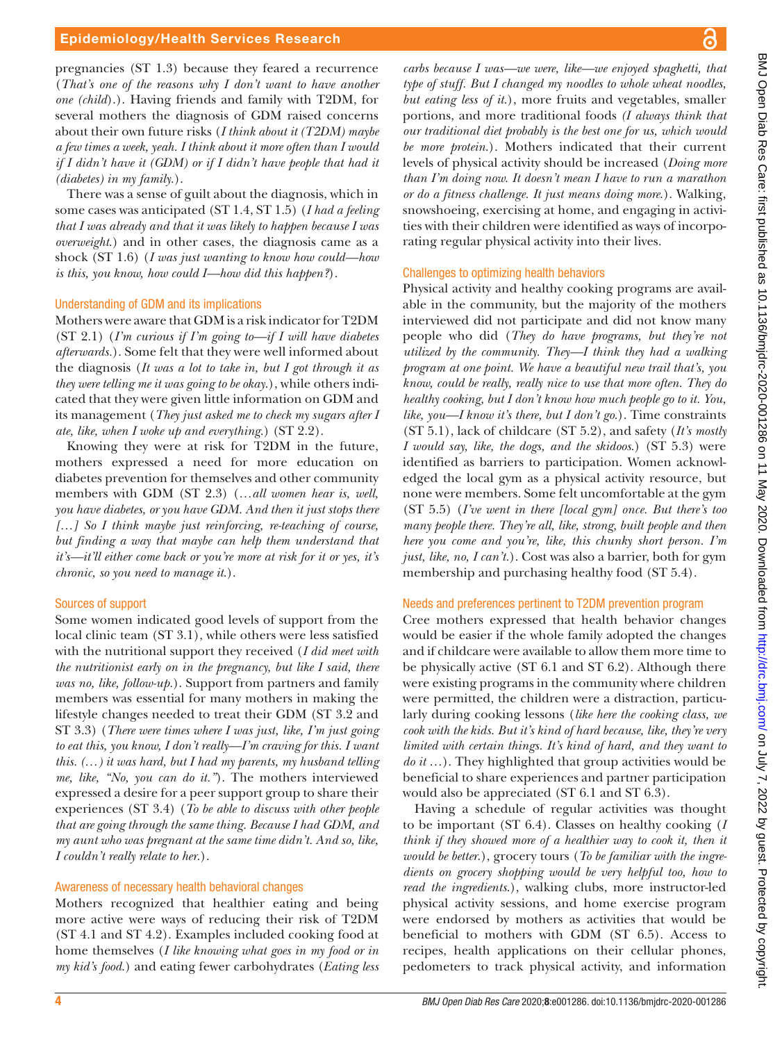pregnancies (ST 1.3) because they feared a recurrence (*That's one of the reasons why I don't want to have another one (child*).). Having friends and family with T2DM, for several mothers the diagnosis of GDM raised concerns about their own future risks (*I think about it (T2DM) maybe a few times a week, yeah. I think about it more often than I would if I didn't have it (GDM) or if I didn't have people that had it (diabetes) in my family.*).

There was a sense of guilt about the diagnosis, which in some cases was anticipated (ST 1.4, ST 1.5) (*I had a feeling that I was already and that it was likely to happen because I was overweight*.) and in other cases, the diagnosis came as a shock (ST 1.6) (*I was just wanting to know how could—how is this, you know, how could I—how did this happen?*).

### Understanding of GDM and its implications

Mothers were aware that GDM is a risk indicator for T2DM (ST 2.1) (*I'm curious if I'm going to—if I will have diabetes afterwards.*). Some felt that they were well informed about the diagnosis (*It was a lot to take in, but I got through it as they were telling me it was going to be okay*.), while others indicated that they were given little information on GDM and its management (*They just asked me to check my sugars after I ate, like, when I woke up and everything*.) (ST 2.2).

Knowing they were at risk for T2DM in the future, mothers expressed a need for more education on diabetes prevention for themselves and other community members with GDM (ST 2.3) (*…all women hear is, well, you have diabetes, or you have GDM. And then it just stops there […] So I think maybe just reinforcing, re-teaching of course, but finding a way that maybe can help them understand that it's—it'll either come back or you're more at risk for it or yes, it's chronic, so you need to manage it*.).

#### Sources of support

Some women indicated good levels of support from the local clinic team (ST 3.1), while others were less satisfied with the nutritional support they received (*I did meet with the nutritionist early on in the pregnancy, but like I said, there was no, like, follow-up.*). Support from partners and family members was essential for many mothers in making the lifestyle changes needed to treat their GDM (ST 3.2 and ST 3.3) (*There were times where I was just, like, I'm just going to eat this, you know, I don't really—I'm craving for this. I want this. (…) it was hard, but I had my parents, my husband telling me, like, "No, you can do it."*). The mothers interviewed expressed a desire for a peer support group to share their experiences (ST 3.4) (*To be able to discuss with other people that are going through the same thing. Because I had GDM, and my aunt who was pregnant at the same time didn't. And so, like, I couldn't really relate to her*.).

### Awareness of necessary health behavioral changes

Mothers recognized that healthier eating and being more active were ways of reducing their risk of T2DM (ST 4.1 and ST 4.2). Examples included cooking food at home themselves (*I like knowing what goes in my food or in my kid's food*.) and eating fewer carbohydrates (*Eating less* 

*carbs because I was—we were, like—we enjoyed spaghetti, that type of stuff. But I changed my noodles to whole wheat noodles, but eating less of it*.), more fruits and vegetables, smaller portions, and more traditional foods *(I always think that our traditional diet probably is the best one for us, which would be more protein*.). Mothers indicated that their current levels of physical activity should be increased (*Doing more than I'm doing now. It doesn't mean I have to run a marathon or do a fitness challenge. It just means doing more*.). Walking, snowshoeing, exercising at home, and engaging in activities with their children were identified as ways of incorporating regular physical activity into their lives.

### Challenges to optimizing health behaviors

Physical activity and healthy cooking programs are available in the community, but the majority of the mothers interviewed did not participate and did not know many people who did (*They do have programs, but they're not utilized by the community. They—I think they had a walking program at one point. We have a beautiful new trail that's, you know, could be really, really nice to use that more often. They do healthy cooking, but I don't know how much people go to it. You, like, you—I know it's there, but I don't go*.). Time constraints (ST 5.1), lack of childcare (ST 5.2), and safety (*It's mostly I would say, like, the dogs, and the skidoos*.) (ST 5.3) were identified as barriers to participation. Women acknowledged the local gym as a physical activity resource, but none were members. Some felt uncomfortable at the gym (ST 5.5) (*I've went in there [local gym] once. But there's too many people there. They're all, like, strong, built people and then here you come and you're, like, this chunky short person. I'm just, like, no, I can't.*). Cost was also a barrier, both for gym membership and purchasing healthy food (ST 5.4).

### Needs and preferences pertinent to T2DM prevention program

Cree mothers expressed that health behavior changes would be easier if the whole family adopted the changes and if childcare were available to allow them more time to be physically active (ST 6.1 and ST 6.2). Although there were existing programs in the community where children were permitted, the children were a distraction, particularly during cooking lessons (*like here the cooking class, we cook with the kids. But it's kind of hard because, like, they're very limited with certain things. It's kind of hard, and they want to do it* …). They highlighted that group activities would be beneficial to share experiences and partner participation would also be appreciated (ST 6.1 and ST 6.3).

Having a schedule of regular activities was thought to be important (ST 6.4). Classes on healthy cooking (*I think if they showed more of a healthier way to cook it, then it would be better*.), grocery tours (*To be familiar with the ingredients on grocery shopping would be very helpful too, how to read the ingredients*.), walking clubs, more instructor-led physical activity sessions, and home exercise program were endorsed by mothers as activities that would be beneficial to mothers with GDM (ST 6.5). Access to recipes, health applications on their cellular phones, pedometers to track physical activity, and information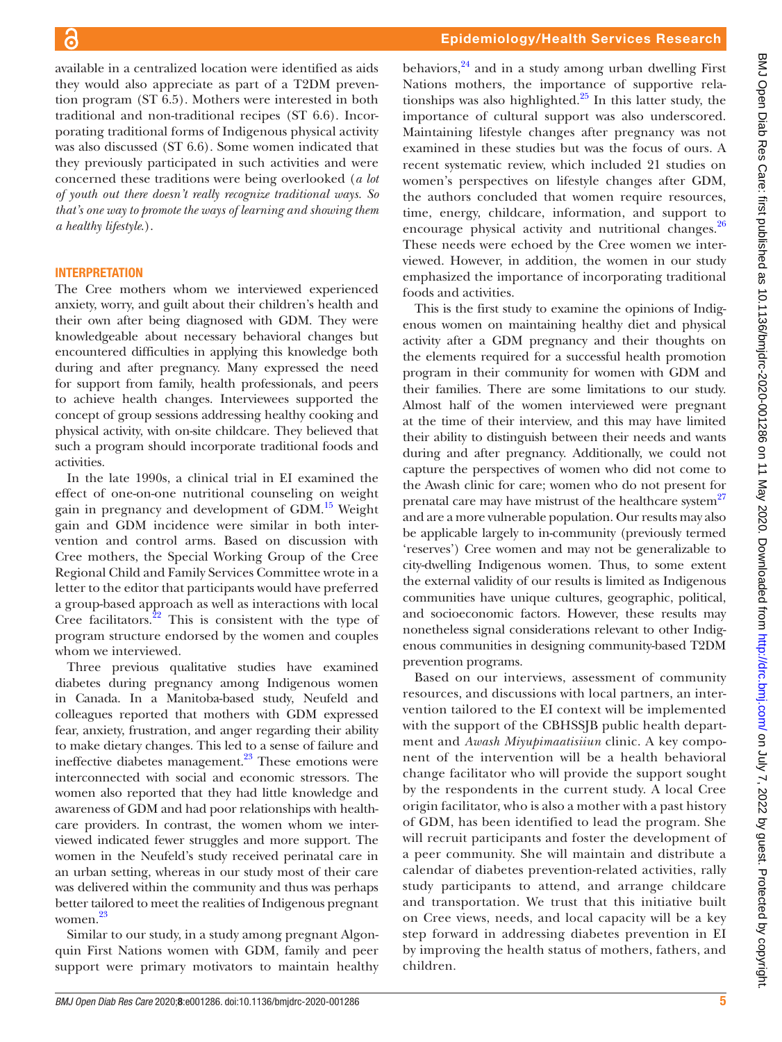available in a centralized location were identified as aids they would also appreciate as part of a T2DM prevention program (ST 6.5). Mothers were interested in both traditional and non-traditional recipes (ST 6.6). Incorporating traditional forms of Indigenous physical activity was also discussed (ST 6.6). Some women indicated that they previously participated in such activities and were concerned these traditions were being overlooked (*a lot of youth out there doesn't really recognize traditional ways. So that's one way to promote the ways of learning and showing them a healthy lifestyle*.).

## **INTERPRETATION**

The Cree mothers whom we interviewed experienced anxiety, worry, and guilt about their children's health and their own after being diagnosed with GDM. They were knowledgeable about necessary behavioral changes but encountered difficulties in applying this knowledge both during and after pregnancy. Many expressed the need for support from family, health professionals, and peers to achieve health changes. Interviewees supported the concept of group sessions addressing healthy cooking and physical activity, with on-site childcare. They believed that such a program should incorporate traditional foods and activities.

In the late 1990s, a clinical trial in EI examined the effect of one-on-one nutritional counseling on weight gain in pregnancy and development of GDM.<sup>15</sup> Weight gain and GDM incidence were similar in both intervention and control arms. Based on discussion with Cree mothers, the Special Working Group of the Cree Regional Child and Family Services Committee wrote in a letter to the editor that participants would have preferred a group-based approach as well as interactions with local Cree facilitators. $22$  This is consistent with the type of program structure endorsed by the women and couples whom we interviewed.

Three previous qualitative studies have examined diabetes during pregnancy among Indigenous women in Canada. In a Manitoba-based study, Neufeld and colleagues reported that mothers with GDM expressed fear, anxiety, frustration, and anger regarding their ability to make dietary changes. This led to a sense of failure and ineffective diabetes management.<sup>[23](#page-5-17)</sup> These emotions were interconnected with social and economic stressors. The women also reported that they had little knowledge and awareness of GDM and had poor relationships with healthcare providers. In contrast, the women whom we interviewed indicated fewer struggles and more support. The women in the Neufeld's study received perinatal care in an urban setting, whereas in our study most of their care was delivered within the community and thus was perhaps better tailored to meet the realities of Indigenous pregnant women.<sup>23</sup>

Similar to our study, in a study among pregnant Algonquin First Nations women with GDM, family and peer support were primary motivators to maintain healthy

behaviors,  $24$  and in a study among urban dwelling First Nations mothers, the importance of supportive relationships was also highlighted. $^{25}$  In this latter study, the importance of cultural support was also underscored. Maintaining lifestyle changes after pregnancy was not examined in these studies but was the focus of ours. A recent systematic review, which included 21 studies on women's perspectives on lifestyle changes after GDM, the authors concluded that women require resources, time, energy, childcare, information, and support to encourage physical activity and nutritional changes.<sup>26</sup> These needs were echoed by the Cree women we interviewed. However, in addition, the women in our study emphasized the importance of incorporating traditional foods and activities.

This is the first study to examine the opinions of Indigenous women on maintaining healthy diet and physical activity after a GDM pregnancy and their thoughts on the elements required for a successful health promotion program in their community for women with GDM and their families. There are some limitations to our study. Almost half of the women interviewed were pregnant at the time of their interview, and this may have limited their ability to distinguish between their needs and wants during and after pregnancy. Additionally, we could not capture the perspectives of women who did not come to the Awash clinic for care; women who do not present for prenatal care may have mistrust of the healthcare system<sup>27</sup> and are a more vulnerable population. Our results may also be applicable largely to in-community (previously termed 'reserves') Cree women and may not be generalizable to city-dwelling Indigenous women. Thus, to some extent the external validity of our results is limited as Indigenous communities have unique cultures, geographic, political, and socioeconomic factors. However, these results may nonetheless signal considerations relevant to other Indigenous communities in designing community-based T2DM prevention programs.

Based on our interviews, assessment of community resources, and discussions with local partners, an intervention tailored to the EI context will be implemented with the support of the CBHSSJB public health department and *Awash Miyupimaatisiiun* clinic. A key component of the intervention will be a health behavioral change facilitator who will provide the support sought by the respondents in the current study. A local Cree origin facilitator, who is also a mother with a past history of GDM, has been identified to lead the program. She will recruit participants and foster the development of a peer community. She will maintain and distribute a calendar of diabetes prevention-related activities, rally study participants to attend, and arrange childcare and transportation. We trust that this initiative built on Cree views, needs, and local capacity will be a key step forward in addressing diabetes prevention in EI by improving the health status of mothers, fathers, and children.